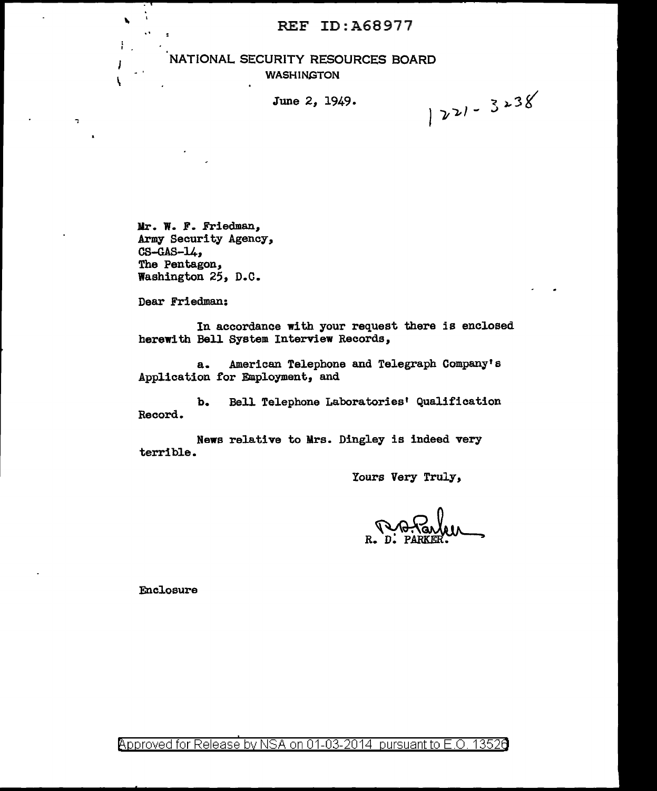#### REF ID:A68977

#### NATIONAL SECURITY RESOURCES BOARD WASHINGTON

June 2, 1949.

 $|221 - 3238|$ 

Mr. W. F. Friedman, Army Security Agency,  $CS-GAS-14$ , The Pentagon, Washington 25, D.C.

Dear Friedman:

I \

 $\overline{a}$ 

ł

V,

In accordance with your request there is enclosed herewith Bell System Interview Records,

a. American Telephone and Telegraph Company's Application for Employment, and

b. Bell Telephone Laboratories' Qualification Record.

News relative to Mrs. Dingley is indeed very terrible.

Yours Very Truly,

R. D. PARKER. ProFarlen

Enclosure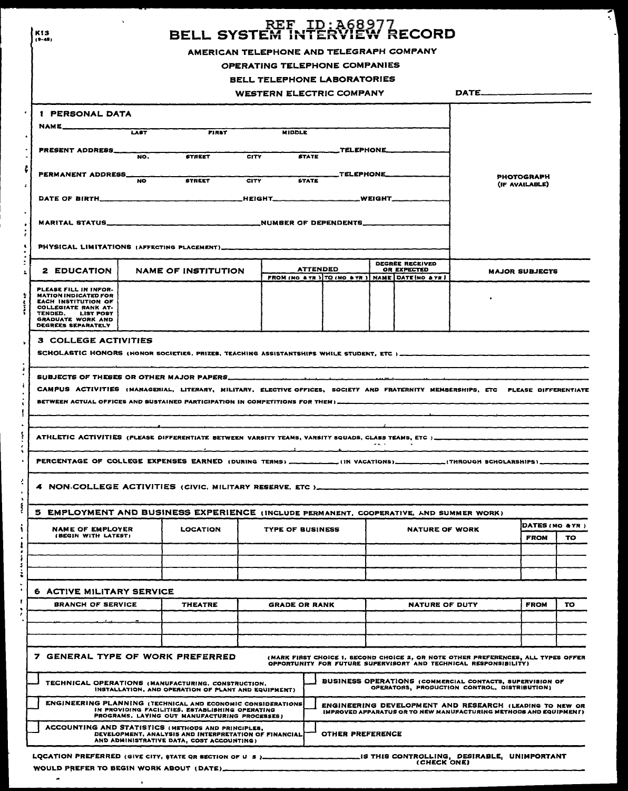|                                                                                  |                                                                                                                                                                                                                                                               |              | BELL SYSTEM IN                                                            | REF_ID:A68977<br>EM INTERVIEW RECORD                                  |                    |                       |                                                                                                                              |     |
|----------------------------------------------------------------------------------|---------------------------------------------------------------------------------------------------------------------------------------------------------------------------------------------------------------------------------------------------------------|--------------|---------------------------------------------------------------------------|-----------------------------------------------------------------------|--------------------|-----------------------|------------------------------------------------------------------------------------------------------------------------------|-----|
|                                                                                  |                                                                                                                                                                                                                                                               |              | AMERICAN TELEPHONE AND TELEGRAPH COMPANY<br>OPERATING TELEPHONE COMPANIES |                                                                       |                    |                       |                                                                                                                              |     |
|                                                                                  |                                                                                                                                                                                                                                                               |              | <b>BELL TELEPHONE LABORATORIES</b>                                        |                                                                       |                    |                       |                                                                                                                              |     |
|                                                                                  |                                                                                                                                                                                                                                                               |              | <b>WESTERN ELECTRIC COMPANY</b>                                           |                                                                       |                    |                       |                                                                                                                              |     |
|                                                                                  |                                                                                                                                                                                                                                                               |              |                                                                           |                                                                       |                    |                       |                                                                                                                              |     |
| 1 PERSONAL DATA                                                                  |                                                                                                                                                                                                                                                               |              |                                                                           |                                                                       |                    |                       |                                                                                                                              |     |
| NAME__                                                                           | LAST                                                                                                                                                                                                                                                          | <b>FIRST</b> | <b>MIDDLE</b>                                                             |                                                                       |                    |                       |                                                                                                                              |     |
| <b>PRESENT ADDRESS___</b>                                                        | <b>STREET</b><br>NO.                                                                                                                                                                                                                                          | CITY         | <b>STATE</b>                                                              |                                                                       |                    | $TELEPHONE$ $$        |                                                                                                                              |     |
|                                                                                  |                                                                                                                                                                                                                                                               |              |                                                                           |                                                                       |                    |                       |                                                                                                                              |     |
| PERMANENT ADDRESS_                                                               | <b>STREET</b><br><b>NO</b>                                                                                                                                                                                                                                    | <b>CITY</b>  | <b>STATE</b>                                                              |                                                                       | <b>TELEPHONE__</b> |                       | <b>PHOTOGRAPH</b><br>(IF AVAILABLE)                                                                                          |     |
|                                                                                  |                                                                                                                                                                                                                                                               |              |                                                                           | <b>WEIGHT________</b>                                                 |                    |                       |                                                                                                                              |     |
|                                                                                  |                                                                                                                                                                                                                                                               |              |                                                                           |                                                                       |                    |                       |                                                                                                                              |     |
|                                                                                  |                                                                                                                                                                                                                                                               |              |                                                                           |                                                                       |                    |                       |                                                                                                                              |     |
|                                                                                  |                                                                                                                                                                                                                                                               |              |                                                                           |                                                                       |                    |                       |                                                                                                                              |     |
|                                                                                  |                                                                                                                                                                                                                                                               |              |                                                                           |                                                                       |                    | DEGREE RECEIVED       |                                                                                                                              |     |
| <b>2 EDUCATION</b>                                                               | <b>NAME OF INSTITUTION</b>                                                                                                                                                                                                                                    |              |                                                                           | <b>ATTENDED</b><br>FROM (NO & YR ) TO (MO & YR ) NAME DATE (MO & YR ) |                    | OR EXPECTED           | <b>MAJOR SUBJECTS</b>                                                                                                        |     |
| PLEASE FILL IN INFOR-                                                            |                                                                                                                                                                                                                                                               |              |                                                                           |                                                                       |                    |                       |                                                                                                                              |     |
| <b>MATION INDICATED FOR</b><br><b>EACH INSTITUTION OF</b><br>COLLEGIATE RANK AT. |                                                                                                                                                                                                                                                               |              |                                                                           |                                                                       |                    |                       |                                                                                                                              |     |
| TENDED.<br>LIST POST<br><b>GRADUATE WORK AND</b>                                 |                                                                                                                                                                                                                                                               |              |                                                                           |                                                                       |                    |                       |                                                                                                                              |     |
| DEGREES SEPARATELY                                                               |                                                                                                                                                                                                                                                               |              |                                                                           |                                                                       |                    |                       |                                                                                                                              |     |
| 3 COLLEGE ACTIVITIES                                                             | SCHOLASTIC HONORS (HONOR SOCIETIES, PRIZES, TEACHING ASSISTANTSHIPS WHILE STUDENT, ETC)                                                                                                                                                                       |              |                                                                           |                                                                       |                    |                       |                                                                                                                              |     |
|                                                                                  |                                                                                                                                                                                                                                                               |              |                                                                           |                                                                       |                    |                       |                                                                                                                              |     |
|                                                                                  | SUBJECTS OF THESES OR OTHER MAJOR PAPERS<br>CAMPUS ACTIVITIES (MANAGERIAL, LITERARY, MILITARY, ELECTIVE OFFICES, SOCIETY AND FRATERNITY MEMBERSHIPS, ETC PLEASE DIFFERENTIATE<br>BETWEEN ACTUAL OFFICES AND SUSTAINED PARTICIPATION IN COMPETITIONS FOR THEM) |              |                                                                           |                                                                       |                    |                       |                                                                                                                              |     |
|                                                                                  | ATHLETIC ACTIVITIES (PLEASE DIFFERENTIATE BETWEEN VARSITY TEAMS, VARSITY SQUADS, CLABS TEAMS, ETC )                                                                                                                                                           |              |                                                                           |                                                                       |                    |                       |                                                                                                                              |     |
|                                                                                  |                                                                                                                                                                                                                                                               |              |                                                                           |                                                                       | <b>PALE</b>        |                       |                                                                                                                              |     |
|                                                                                  | PERCENTAGE OF COLLEGE EXPENSES EARNED (DURING TERMS) ____________(IN VACATIONS) ___________(THROUGH SCHOLARSHIPS) __                                                                                                                                          |              |                                                                           |                                                                       |                    |                       |                                                                                                                              |     |
|                                                                                  | 4 NON-COLLEGE ACTIVITIES (CIVIC, MILITARY RESERVE, ETC)                                                                                                                                                                                                       |              |                                                                           |                                                                       |                    |                       |                                                                                                                              |     |
|                                                                                  | 5 EMPLOYMENT AND BUSINESS EXPERIENCE (INCLUDE PERMANENT, COOPERATIVE, AND SUMMER WORK)                                                                                                                                                                        |              |                                                                           |                                                                       |                    |                       |                                                                                                                              |     |
| <b>NAME OF EMPLOYER</b>                                                          | <b>LOCATION</b>                                                                                                                                                                                                                                               |              | TYPE OF BUSINESS                                                          |                                                                       |                    | NATURE OF WORK        | DATES (MO & YR )                                                                                                             |     |
| (BEGIN WITH LATEST)                                                              |                                                                                                                                                                                                                                                               |              |                                                                           |                                                                       |                    |                       | <b>FROM</b>                                                                                                                  |     |
|                                                                                  |                                                                                                                                                                                                                                                               |              |                                                                           |                                                                       |                    |                       |                                                                                                                              | TO. |
|                                                                                  |                                                                                                                                                                                                                                                               |              |                                                                           |                                                                       |                    |                       |                                                                                                                              |     |
|                                                                                  |                                                                                                                                                                                                                                                               |              |                                                                           |                                                                       |                    |                       |                                                                                                                              |     |
| <b>BRANCH OF SERVICE</b>                                                         | <b>THEATRE</b>                                                                                                                                                                                                                                                |              | <b>GRADE OR RANK</b>                                                      |                                                                       |                    | <b>NATURE OF DUTY</b> | <b>FROM</b>                                                                                                                  |     |
|                                                                                  |                                                                                                                                                                                                                                                               |              |                                                                           |                                                                       |                    |                       |                                                                                                                              |     |
|                                                                                  |                                                                                                                                                                                                                                                               |              |                                                                           |                                                                       |                    |                       |                                                                                                                              |     |
| <b>6 ACTIVE MILITARY SERVICE</b>                                                 |                                                                                                                                                                                                                                                               |              |                                                                           |                                                                       |                    |                       |                                                                                                                              |     |
|                                                                                  | 7 GENERAL TYPE OF WORK PREFERRED                                                                                                                                                                                                                              |              |                                                                           | OPPORTUNITY FOR FUTURE SUPERVISORY AND TECHNICAL RESPONSIBILITY)      |                    |                       | (MARK FIRST CHOICE 1, SECOND CHOICE 2, OR NOTE OTHER PREFERENCES, ALL TYPES OFFER                                            | TO. |
|                                                                                  | TECHNICAL OPERATIONS (MANUFACTURING, CONSTRUCTION,<br>INSTALLATION, AND OPERATION OF PLANT AND EQUIPMENT)                                                                                                                                                     |              |                                                                           |                                                                       |                    |                       | BUSINESS OPERATIONS (COMMERCIAL CONTACTS, SUPERVISION OF<br>OPERATORS, PRODUCTION CONTROL, DISTRIBUTION)                     |     |
|                                                                                  | <b>ENGINEERING PLANNING (TECHNICAL AND ECONOMIC CONSIDERATIONS</b><br>IN PROVIDING FACILITIES, ESTABLISHING OPERATING<br>PROGRAMS, LAYING OUT MANUFACTURING PROCESSES)                                                                                        |              |                                                                           |                                                                       |                    |                       | ENGINEERING DEVELOPMENT AND RESEARCH (LEADING TO NEW OR<br>IMPROVED APPARATUS OR TO NEW MANUFACTURING METHODS AND EQUIPMENT) |     |

WOULD PREFER TO BEGIN WORK ABOUT (DATE)  $\sim$ 

 $\sim$ 

 $\overline{\phantom{a}}$ -1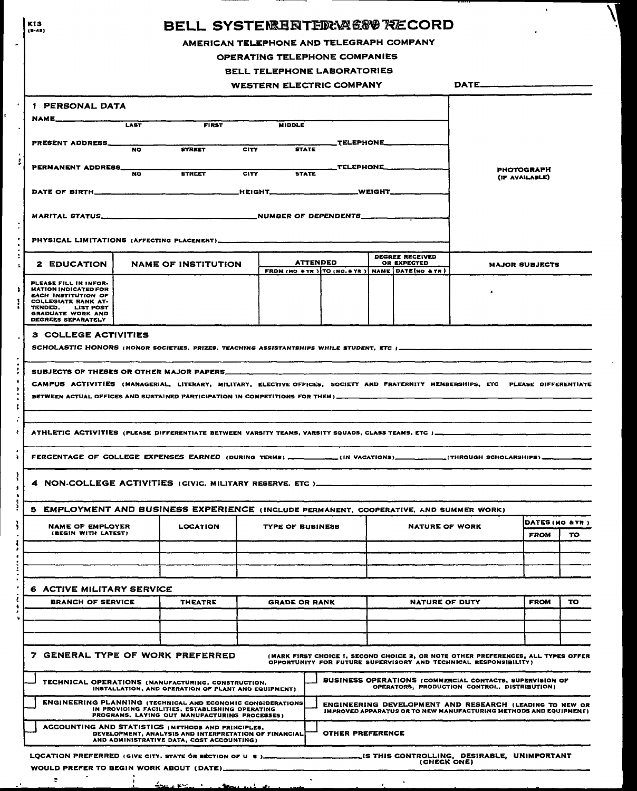| K13<br>$(9 - 45)$                                                                                                                                                                                                    |                                                                                                    | BELL SYSTENRERTEDRYAG8V9 RECORD                                      |                  |          |                       |                                                                                                                                                       |                       |     |
|----------------------------------------------------------------------------------------------------------------------------------------------------------------------------------------------------------------------|----------------------------------------------------------------------------------------------------|----------------------------------------------------------------------|------------------|----------|-----------------------|-------------------------------------------------------------------------------------------------------------------------------------------------------|-----------------------|-----|
|                                                                                                                                                                                                                      |                                                                                                    | AMERICAN TELEPHONE AND TELEGRAPH COMPANY                             |                  |          |                       |                                                                                                                                                       |                       |     |
|                                                                                                                                                                                                                      |                                                                                                    | OPERATING TELEPHONE COMPANIES                                        |                  |          |                       |                                                                                                                                                       |                       |     |
|                                                                                                                                                                                                                      |                                                                                                    | BELL TELEPHONE LABORATORIES                                          |                  |          |                       |                                                                                                                                                       |                       |     |
|                                                                                                                                                                                                                      |                                                                                                    | <b>WESTERN ELECTRIC COMPANY</b>                                      |                  |          |                       | DATE__                                                                                                                                                |                       |     |
| 1 PERSONAL DATA                                                                                                                                                                                                      |                                                                                                    |                                                                      |                  |          |                       |                                                                                                                                                       |                       |     |
| NAME_<br><b>LAST</b>                                                                                                                                                                                                 | <b>FIRST</b>                                                                                       | <b>MIDDLE</b>                                                        |                  |          |                       |                                                                                                                                                       |                       |     |
| <b>PRESENT ADDRESS_</b><br><b>NO</b>                                                                                                                                                                                 | <b>STREET</b>                                                                                      | <b>CITY</b><br><b>STATE</b>                                          | <b>TELEPHONE</b> |          |                       |                                                                                                                                                       |                       |     |
| PERMANENT ADDRESS_<br><b>NO</b>                                                                                                                                                                                      | <b>STRCET</b>                                                                                      | <b>CITY</b><br><b>STATE</b>                                          | TELEPHONE        |          |                       |                                                                                                                                                       | <b>PHOTOGRAPH</b>     |     |
| DATE OF BIRTH_                                                                                                                                                                                                       |                                                                                                    | _HEIGHT__                                                            |                  | _WEIGHT_ |                       |                                                                                                                                                       | (IF AVAILABLE)        |     |
| MARITAL STATUS                                                                                                                                                                                                       |                                                                                                    | NUMBER OF DEPENDENTS                                                 |                  |          |                       |                                                                                                                                                       |                       |     |
| PHYSICAL LIMITATIONS (AFFECTING PLACEMENT)_                                                                                                                                                                          |                                                                                                    |                                                                      |                  |          |                       |                                                                                                                                                       |                       |     |
|                                                                                                                                                                                                                      |                                                                                                    |                                                                      |                  |          | DEGREE RECEIVED       |                                                                                                                                                       |                       |     |
| <b>2 EDUCATION</b>                                                                                                                                                                                                   | <b>NAME OF INSTITUTION</b>                                                                         | <b>ATTENDED</b><br>FROM (MO & YR ) TO (MO & YR ) NAME DATE MO & TR ) |                  |          | OR EXPECTED           |                                                                                                                                                       | <b>MAJOR SUBJECTS</b> |     |
| PLEASE FILL IN INFOR-<br><b>MATION INDICATED FOR</b><br>EACH INSTITUTION OF<br>COLLEGIATE RANK AT-<br>TENDED.<br><b>LIST POST</b><br><b>GRADUATE WORK AND</b><br>DEGREES SEPARATELY                                  |                                                                                                    |                                                                      |                  |          |                       |                                                                                                                                                       |                       |     |
| 3 COLLEGE ACTIVITIES<br>SCHOLASTIC HONORS (HONOR SOCIETIES, PRIZES, TEACHING ASSISTANTSHIPS WHILE STUDENT, ETC )                                                                                                     |                                                                                                    |                                                                      |                  |          |                       |                                                                                                                                                       |                       |     |
| CAMPUS ACTIVITIES (MANAGERIAL, LITERARY, MILITARY, ELECTIVE OFFICES, SOCIETY AND FRATERNITY MEMBERSHIPS, ETC PLEASE DIFFERENTIATE<br>BETWEEN ACTUAL OFFICES AND SUSTAINED PARTICIPATION IN COMPETITIONS FOR THEM) __ |                                                                                                    |                                                                      |                  |          |                       |                                                                                                                                                       |                       |     |
| ATHLETIC ACTIVITIES (PLEASE DIFFERENTIATE BETWEEN VARSITY TEAMS, VARSITY SQUADS, CLASS TEAMS, ETC )_                                                                                                                 |                                                                                                    |                                                                      |                  |          |                       |                                                                                                                                                       |                       |     |
| FERCENTAGE OF COLLEGE EXPENSES EARNED (DURING TERMS) ___________(IN VACATIONS)__________(THROUGH SCHOLARSHIPS)___                                                                                                    |                                                                                                    |                                                                      |                  |          |                       |                                                                                                                                                       |                       |     |
| 4 NON-COLLEGE ACTIVITIES (CIVIC, MILITARY RESERVE, ETC)___                                                                                                                                                           |                                                                                                    |                                                                      |                  |          |                       |                                                                                                                                                       |                       |     |
| 5 EMPLOYMENT AND BUSINESS EXPERIENCE (INCLUDE PERMANENT, COOPERATIVE, AND SUMMER WORK)                                                                                                                               |                                                                                                    |                                                                      |                  |          |                       |                                                                                                                                                       |                       |     |
| <b>NAME OF EMPLOYER</b>                                                                                                                                                                                              | <b>LOCATION</b>                                                                                    | <b>TYPE OF BUSINESS</b>                                              |                  |          | <b>NATURE OF WORK</b> |                                                                                                                                                       | DATES (MO & YR)       |     |
| (BEGIN WITH LATEST)                                                                                                                                                                                                  |                                                                                                    |                                                                      |                  |          |                       |                                                                                                                                                       | <b>FROM</b>           | TO. |
|                                                                                                                                                                                                                      |                                                                                                    |                                                                      |                  |          |                       |                                                                                                                                                       |                       |     |
| <b>6 ACTIVE MILITARY SERVICE</b>                                                                                                                                                                                     |                                                                                                    |                                                                      |                  |          |                       |                                                                                                                                                       |                       |     |
| <b>BRANCH OF SERVICE</b>                                                                                                                                                                                             | <b>THEATRE</b>                                                                                     | <b>GRADE OR RANK</b>                                                 |                  |          | <b>NATURE OF DUTY</b> |                                                                                                                                                       | <b>FROM</b>           | TO  |
|                                                                                                                                                                                                                      |                                                                                                    |                                                                      |                  |          |                       |                                                                                                                                                       |                       |     |
| 7 GENERAL TYPE OF WORK PREFERRED                                                                                                                                                                                     |                                                                                                    |                                                                      |                  |          |                       | (MARK FIRST CHOICE I, SECOND CHOICE 2, OR NOTE OTHER PREFERENCES, ALL TYPES OFFER<br>OPPORTUNITY FOR FUTURE SUPERVISORY AND TECHNICAL RESPONSIBILITY) |                       |     |
| TECHNICAL OPERATIONS (MANUFACTURING, CONSTRUCTION,                                                                                                                                                                   | INSTALLATION, AND OPERATION OF PLANT AND EQUIPMENT)                                                |                                                                      |                  |          |                       | BUSINESS OPERATIONS (COMMERCIAL CONTACTS, SUPERVISION OF<br>OPERATORS, PRODUCTION CONTROL, DISTRIBUTION)                                              |                       |     |
| <b>ENGINEERING PLANNING (TECHNICAL AND ECONOMIC CONSIDERATIONS)</b>                                                                                                                                                  | IN PROVIDING FACILITIES, ESTABLISHING OPERATING<br>PROGRAMS, LAYING OUT MANUFACTURING PROCESSES)   |                                                                      |                  |          |                       | ENGINEERING DEVELOPMENT AND RESEARCH (LEADING TO NEW OR<br>IMPROVED APPARATUS OR TO NEW MANUFACTURING METHODS AND EQUIPMEN [ ]                        |                       |     |
| ACCOUNTING AND STATISTICS (METHODS AND PRINCIPLES,                                                                                                                                                                   | DEVELOPMENT, ANALYSIS AND INTERPRETATION OF FINANCIAL<br>AND ADMINISTRATIVE DATA, COST ACCOUNTING) |                                                                      | OTHER PREFERENCE |          |                       |                                                                                                                                                       |                       |     |
|                                                                                                                                                                                                                      |                                                                                                    |                                                                      |                  |          | (CHECK ONE)           |                                                                                                                                                       |                       |     |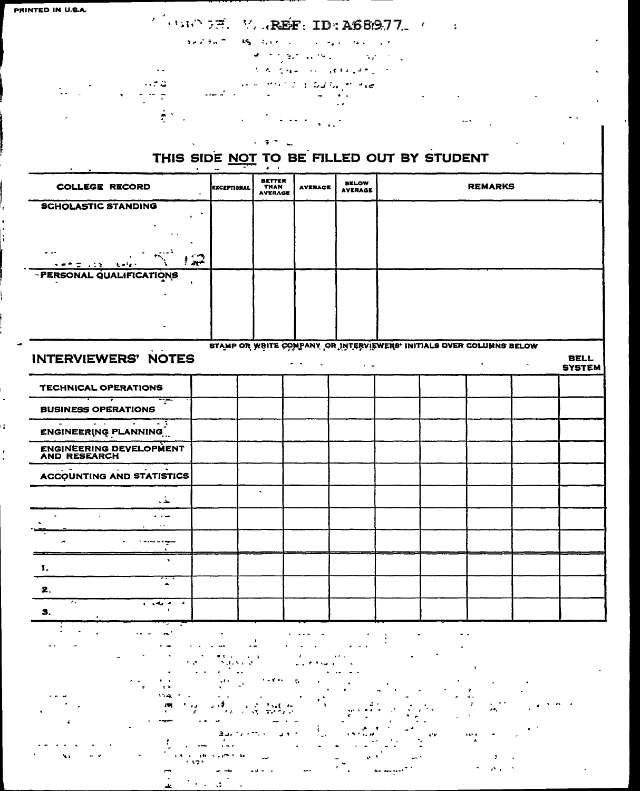PRINTED IN U.S.A.

### $\mathcal{L}$  (145)  $\mathcal{F}$ . V. AREF: ID: A689.77.  $\mathcal{L} = 3$

approach of the special con- $\sim 10^{-11}$  $\mathcal{L} = \mathcal{L} \mathcal{L} \mathcal{L}$  .  $\sim$  .

their system of the pro-

S. A. CHA CHI (BERGAN)

Home Edity  $\sim 10^{11}$ 

الرست

 $\mathbf{L}$ 

 $\mathcal{L}^{\text{max}}_{\text{max}}$  and  $\mathcal{L}^{\text{max}}_{\text{max}}$ الأرابات

> $\ddot{\bullet}$ THIS SIDE NOT TO BE FILLED OUT BY STUDENT

|                                                                                                                                                                                                                                             |             | . .                                     |                |                                |                                                                     |                |                |               |
|---------------------------------------------------------------------------------------------------------------------------------------------------------------------------------------------------------------------------------------------|-------------|-----------------------------------------|----------------|--------------------------------|---------------------------------------------------------------------|----------------|----------------|---------------|
| <b>COLLEGE RECORD</b>                                                                                                                                                                                                                       | EXCEPTIONAL | <b>BETTER</b><br>THAN<br><b>AVERAGE</b> | <b>AVERAGE</b> | <b>BELOW</b><br><b>AVERAGE</b> |                                                                     | <b>REMARKS</b> |                |               |
| <b>SCHOLASTIC STANDING</b>                                                                                                                                                                                                                  |             |                                         |                |                                |                                                                     |                |                |               |
|                                                                                                                                                                                                                                             |             |                                         |                |                                |                                                                     |                |                |               |
|                                                                                                                                                                                                                                             |             |                                         |                |                                |                                                                     |                |                |               |
|                                                                                                                                                                                                                                             |             |                                         |                |                                |                                                                     |                |                |               |
|                                                                                                                                                                                                                                             |             |                                         |                |                                |                                                                     |                |                |               |
| تشويرا<br>医单色管 化亚氯化 电射线的                                                                                                                                                                                                                    |             |                                         |                |                                |                                                                     |                |                |               |
| - PERSONAL QUALIFICATIONS                                                                                                                                                                                                                   |             |                                         |                |                                |                                                                     |                |                |               |
|                                                                                                                                                                                                                                             |             |                                         |                |                                |                                                                     |                |                |               |
|                                                                                                                                                                                                                                             |             |                                         |                |                                |                                                                     |                |                |               |
|                                                                                                                                                                                                                                             |             |                                         |                |                                |                                                                     |                |                |               |
|                                                                                                                                                                                                                                             |             |                                         |                |                                |                                                                     |                |                |               |
|                                                                                                                                                                                                                                             |             |                                         |                |                                |                                                                     |                |                |               |
|                                                                                                                                                                                                                                             |             |                                         |                |                                | STAMP OR WRITE COMPANY OR INTERVIEWERS' INITIALS OVER COLUMNS BELOW |                |                |               |
| <b>INTERVIEWERS' NOTES</b>                                                                                                                                                                                                                  |             |                                         |                |                                |                                                                     |                |                | <b>BELL</b>   |
|                                                                                                                                                                                                                                             |             |                                         | . .<br>$\sim$  | $\epsilon = \omega$            |                                                                     | $\bullet$      | $\blacksquare$ | <b>SYSTEM</b> |
|                                                                                                                                                                                                                                             |             |                                         |                |                                |                                                                     |                |                |               |
| TECHNICAL OPERATIONS                                                                                                                                                                                                                        |             |                                         |                |                                |                                                                     |                |                |               |
| ┯╾                                                                                                                                                                                                                                          |             |                                         |                |                                |                                                                     |                |                |               |
| <b>BUSINESS OPERATIONS</b>                                                                                                                                                                                                                  |             |                                         |                |                                |                                                                     |                |                |               |
| <del>e de la c</del> omposición de la composición de la composición de la composición de la composición de la composición de<br>Composición de la composición de la composición de la composición de la composición de la composición de la |             |                                         |                |                                |                                                                     |                |                |               |
| <b>ENGINEERING PLANNING</b>                                                                                                                                                                                                                 |             |                                         |                |                                |                                                                     |                |                |               |
|                                                                                                                                                                                                                                             |             |                                         |                |                                |                                                                     |                |                |               |
| <b>ENGINEERING DEVELOPMENT</b><br><b>AND RESEARCH</b>                                                                                                                                                                                       |             |                                         |                |                                |                                                                     |                |                |               |
| $\sim 100$                                                                                                                                                                                                                                  |             |                                         |                |                                |                                                                     |                |                |               |
| <b>ACCOUNTING AND STATISTICS</b>                                                                                                                                                                                                            |             |                                         |                |                                |                                                                     |                |                |               |
|                                                                                                                                                                                                                                             |             | $\bullet$                               |                |                                |                                                                     |                |                |               |
| البقائد                                                                                                                                                                                                                                     |             |                                         |                |                                |                                                                     |                |                |               |
| $\mathbf{r}$<br>$\sim$ 100 $\mu$                                                                                                                                                                                                            |             |                                         |                |                                |                                                                     |                |                |               |
|                                                                                                                                                                                                                                             |             |                                         |                |                                |                                                                     |                |                |               |
|                                                                                                                                                                                                                                             |             |                                         |                |                                |                                                                     |                |                |               |
| <b>If you want to a stage of</b>                                                                                                                                                                                                            |             |                                         |                |                                |                                                                     |                |                |               |
| $\mathbf{v}$                                                                                                                                                                                                                                |             |                                         |                |                                |                                                                     |                |                |               |
| 1.                                                                                                                                                                                                                                          |             |                                         |                |                                |                                                                     |                |                |               |
|                                                                                                                                                                                                                                             |             |                                         |                |                                |                                                                     |                |                |               |
| 2.                                                                                                                                                                                                                                          |             |                                         |                |                                |                                                                     |                |                |               |
| $\overline{\cdots}$<br>$\bullet$<br>a contact of the                                                                                                                                                                                        |             |                                         |                |                                |                                                                     |                |                |               |
| 9.                                                                                                                                                                                                                                          |             |                                         |                |                                |                                                                     |                |                |               |
|                                                                                                                                                                                                                                             |             |                                         |                |                                |                                                                     |                |                |               |
|                                                                                                                                                                                                                                             |             |                                         |                |                                |                                                                     |                |                |               |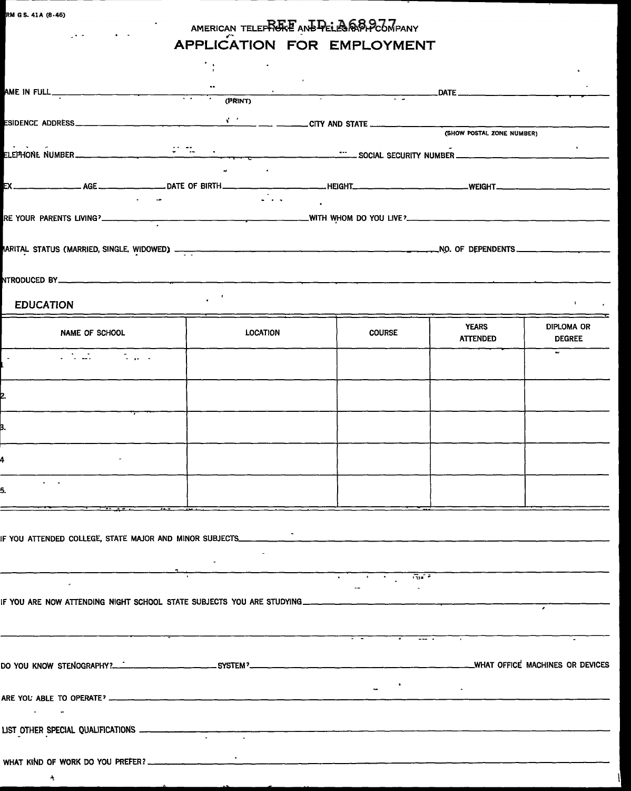$\blacktriangle$ 

### AMERICAN TELE<del>f MORE</del> AND PELEGRAPH COMPANY<br>A DOLLA ATOMATION IOD PANDICIAN **APPLICATION FOR EMPLOYMENT**

|                                                                                   |                                                         |                                                                                                                                                                                                                                                                                                                                                                                                                                  |                                 | $\mathbf{A}$ .                     |
|-----------------------------------------------------------------------------------|---------------------------------------------------------|----------------------------------------------------------------------------------------------------------------------------------------------------------------------------------------------------------------------------------------------------------------------------------------------------------------------------------------------------------------------------------------------------------------------------------|---------------------------------|------------------------------------|
|                                                                                   |                                                         |                                                                                                                                                                                                                                                                                                                                                                                                                                  |                                 |                                    |
|                                                                                   |                                                         |                                                                                                                                                                                                                                                                                                                                                                                                                                  |                                 |                                    |
|                                                                                   |                                                         |                                                                                                                                                                                                                                                                                                                                                                                                                                  |                                 |                                    |
|                                                                                   |                                                         |                                                                                                                                                                                                                                                                                                                                                                                                                                  |                                 |                                    |
| <b>EDUCATION</b>                                                                  | $\mathcal{L}_{\text{max}}$ , $\mathcal{L}_{\text{max}}$ |                                                                                                                                                                                                                                                                                                                                                                                                                                  |                                 | <b>Barrows</b>                     |
| NAME OF SCHOOL                                                                    | LOCATION                                                | <b>COURSE</b>                                                                                                                                                                                                                                                                                                                                                                                                                    | <b>YEARS</b><br><b>ATTENDED</b> | <b>DIPLOMA OR</b><br><b>DEGREE</b> |
| a tanàna amin'ny faritr'i Nor                                                     |                                                         |                                                                                                                                                                                                                                                                                                                                                                                                                                  |                                 | $\mathbf{r}$                       |
|                                                                                   |                                                         |                                                                                                                                                                                                                                                                                                                                                                                                                                  |                                 |                                    |
|                                                                                   |                                                         |                                                                                                                                                                                                                                                                                                                                                                                                                                  |                                 |                                    |
|                                                                                   |                                                         |                                                                                                                                                                                                                                                                                                                                                                                                                                  |                                 |                                    |
| $\mathcal{A}^{\mathcal{A}}$ and $\mathcal{A}^{\mathcal{A}}$<br>5.                 |                                                         |                                                                                                                                                                                                                                                                                                                                                                                                                                  |                                 |                                    |
| $\overline{\phantom{a}}$                                                          |                                                         |                                                                                                                                                                                                                                                                                                                                                                                                                                  |                                 |                                    |
| IF YOU ATTENDED COLLEGE, STATE MAJOR AND MINOR SUBJECTS_____________              |                                                         |                                                                                                                                                                                                                                                                                                                                                                                                                                  |                                 |                                    |
|                                                                                   |                                                         | $\frac{1}{\sqrt{2\pi}}\left(\frac{1}{\sqrt{2\pi}}\right)^{2}=\frac{1}{\sqrt{2\pi}}\left(\frac{1}{\sqrt{2\pi}}\right)^{2}=\frac{1}{\sqrt{2\pi}}\left(\frac{1}{\sqrt{2\pi}}\right)^{2}=\frac{1}{\sqrt{2\pi}}\left(\frac{1}{\sqrt{2\pi}}\right)^{2}=\frac{1}{\sqrt{2\pi}}\left(\frac{1}{\sqrt{2\pi}}\right)^{2}=\frac{1}{\sqrt{2\pi}}\left(\frac{1}{\sqrt{2\pi}}\right)^{2}=\frac{1}{\sqrt{2\pi}}\left(\frac{1}{\sqrt{2\pi}}\right$ | $\frac{1}{1374}$                |                                    |
| IF YOU ARE NOW ATTENDING NIGHT SCHOOL STATE SUBJECTS YOU ARE STUDYING ___________ |                                                         |                                                                                                                                                                                                                                                                                                                                                                                                                                  |                                 |                                    |
|                                                                                   |                                                         |                                                                                                                                                                                                                                                                                                                                                                                                                                  |                                 |                                    |
|                                                                                   |                                                         |                                                                                                                                                                                                                                                                                                                                                                                                                                  |                                 |                                    |
| <b>Contract Contract</b>                                                          |                                                         |                                                                                                                                                                                                                                                                                                                                                                                                                                  |                                 |                                    |
| LIST OTHER SPECIAL QUALIFICATIONS                                                 |                                                         |                                                                                                                                                                                                                                                                                                                                                                                                                                  |                                 |                                    |
|                                                                                   |                                                         |                                                                                                                                                                                                                                                                                                                                                                                                                                  |                                 |                                    |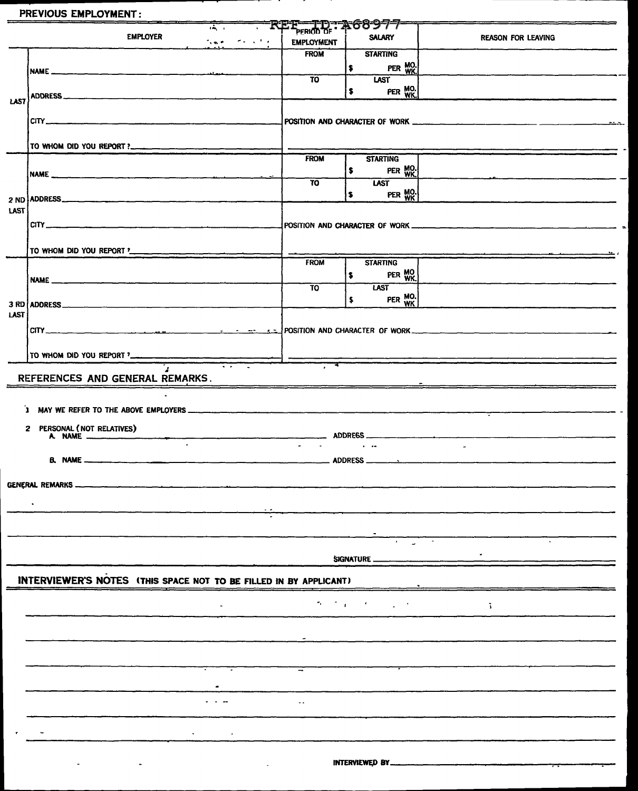#### PREVIOUS EMPLOYMENT:

**EMPLOYER** 

| т,            |                                           | m | <b>PERIOD OF</b>  | Q: A68977                |                           |
|---------------|-------------------------------------------|---|-------------------|--------------------------|---------------------------|
| .<br>والمستعد | <b><i>Contract of the State State</i></b> |   | <b>EMPLOYMENT</b> | <b>SALARY</b>            | <b>REASON FOR LEAVING</b> |
|               |                                           |   | <b>FROM</b>       | <b>STARTING</b>          |                           |
| مستدر البدير  |                                           |   |                   | MO.<br>WK.<br><b>PER</b> |                           |
|               |                                           |   | TO                | <b>LAST</b>              |                           |
|               |                                           |   |                   | MO.<br>WK.<br>PER<br>а   |                           |
|               |                                           |   |                   |                          |                           |

|      |                                                                                                                                                                                                                                                                                                                          |                   | PER WK.<br>I\$                                  |            |
|------|--------------------------------------------------------------------------------------------------------------------------------------------------------------------------------------------------------------------------------------------------------------------------------------------------------------------------|-------------------|-------------------------------------------------|------------|
|      | ADDRESS                                                                                                                                                                                                                                                                                                                  | <b>TO</b>         | <b>LAST</b><br>PER WK.<br>$\blacktriangleright$ |            |
| LAST |                                                                                                                                                                                                                                                                                                                          |                   |                                                 |            |
|      | CIP                                                                                                                                                                                                                                                                                                                      |                   |                                                 |            |
|      | TO WHOM DID YOU REPORT ?_______________________                                                                                                                                                                                                                                                                          | <b>FROM</b>       |                                                 |            |
|      |                                                                                                                                                                                                                                                                                                                          |                   | <b>STARTING</b><br>PER MO.<br>\$                |            |
|      | 2 ND ADDRESS                                                                                                                                                                                                                                                                                                             | $\overline{10}$   | <b>LAST</b><br>PER WO.<br>\$                    |            |
| LAST |                                                                                                                                                                                                                                                                                                                          |                   |                                                 |            |
|      | $CITY$ $\frac{1}{2}$ $\frac{1}{2}$ $\frac{1}{2}$ $\frac{1}{2}$ $\frac{1}{2}$ $\frac{1}{2}$ $\frac{1}{2}$ $\frac{1}{2}$ $\frac{1}{2}$ $\frac{1}{2}$ $\frac{1}{2}$ $\frac{1}{2}$ $\frac{1}{2}$ $\frac{1}{2}$ $\frac{1}{2}$ $\frac{1}{2}$ $\frac{1}{2}$ $\frac{1}{2}$ $\frac{1}{2}$ $\frac{1}{2}$ $\frac{1}{2}$ $\frac{1}{$ |                   |                                                 |            |
|      | TO WHOM DID YOU REPORT ?                                                                                                                                                                                                                                                                                                 |                   |                                                 |            |
|      |                                                                                                                                                                                                                                                                                                                          | <b>FROM</b>       | <b>STARTING</b><br>PER WK<br>\$                 |            |
|      |                                                                                                                                                                                                                                                                                                                          | $\overline{10}$   | <b>LAST</b>                                     |            |
| LAST |                                                                                                                                                                                                                                                                                                                          |                   | $PER$ $WK$<br>$\bullet$                         |            |
|      |                                                                                                                                                                                                                                                                                                                          |                   |                                                 |            |
|      |                                                                                                                                                                                                                                                                                                                          |                   |                                                 |            |
|      | REFERENCES AND GENERAL REMARKS.                                                                                                                                                                                                                                                                                          |                   |                                                 |            |
|      |                                                                                                                                                                                                                                                                                                                          |                   |                                                 |            |
|      |                                                                                                                                                                                                                                                                                                                          |                   |                                                 |            |
|      | 2 PERSONAL (NOT RELATIVES)                                                                                                                                                                                                                                                                                               |                   |                                                 |            |
|      | $\sim$                                                                                                                                                                                                                                                                                                                   | <b>Carl Corp.</b> | and the contract of                             | $\sim 100$ |
|      |                                                                                                                                                                                                                                                                                                                          |                   |                                                 |            |
|      |                                                                                                                                                                                                                                                                                                                          |                   |                                                 |            |
|      | <b>Contract</b>                                                                                                                                                                                                                                                                                                          |                   |                                                 |            |
|      |                                                                                                                                                                                                                                                                                                                          |                   |                                                 |            |
|      |                                                                                                                                                                                                                                                                                                                          |                   | SIGNATURE_                                      |            |
|      | INTERVIEWER'S NOTES (THIS SPACE NOT TO BE FILLED IN BY APPLICANT)                                                                                                                                                                                                                                                        |                   |                                                 |            |
|      |                                                                                                                                                                                                                                                                                                                          |                   |                                                 |            |
|      |                                                                                                                                                                                                                                                                                                                          |                   | ひとうしょうしゅう<br>$\Delta \sim 10^{-11}$             | ñ.         |
|      |                                                                                                                                                                                                                                                                                                                          |                   |                                                 |            |
|      |                                                                                                                                                                                                                                                                                                                          |                   |                                                 |            |
|      |                                                                                                                                                                                                                                                                                                                          |                   |                                                 |            |
|      |                                                                                                                                                                                                                                                                                                                          |                   |                                                 |            |
|      |                                                                                                                                                                                                                                                                                                                          | $\sim$ $\sim$     |                                                 |            |
|      |                                                                                                                                                                                                                                                                                                                          |                   |                                                 |            |
|      |                                                                                                                                                                                                                                                                                                                          |                   |                                                 |            |
|      |                                                                                                                                                                                                                                                                                                                          |                   | INTERVIEWED BY_                                 |            |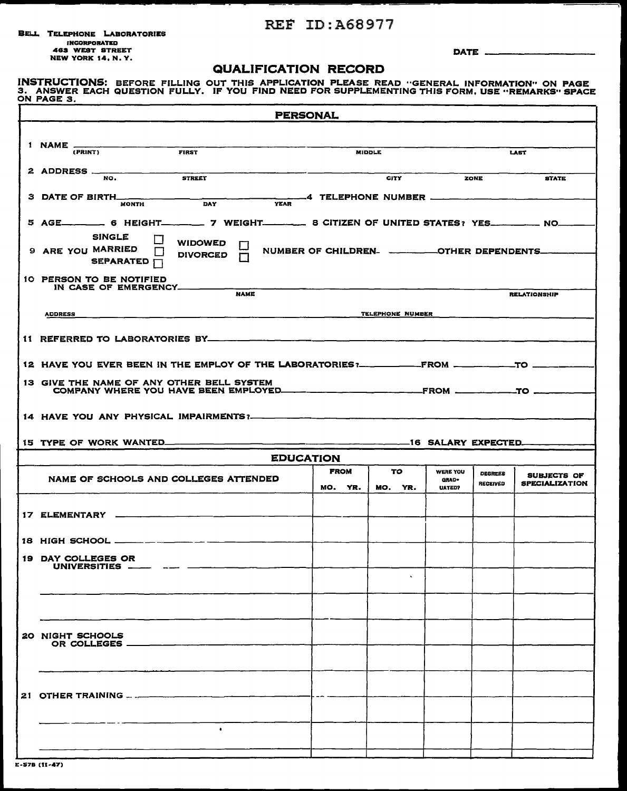#### REF ID:A68977

BELL TELEPHONE LABORATORIES INCORPORATIED 483 WEST STREET NEW YORK 14, N. Y.

DATE \_\_

#### QUALIFICATION RECORD

INSTRUCTIONS: BEFORE FILLING OUT THIS APPLICATION PLEASE READ "GENERAL INFORMATION" ON PAGE<br>3. ANSWER EACH QUESTION FULLY. IF YOU FIND NEED FOR SUPPLEMENTING THIS FORM, USE "REMARKS" SPACE<br>ON PAGE 3.

|                                                                                                                                         | <b>PERSONAL</b>        |                  |                                    |                                   |                                             |
|-----------------------------------------------------------------------------------------------------------------------------------------|------------------------|------------------|------------------------------------|-----------------------------------|---------------------------------------------|
| 1 NAME -                                                                                                                                |                        |                  |                                    |                                   |                                             |
| (PRINT)<br><b>FIRST</b>                                                                                                                 |                        | <b>MIDDLE</b>    |                                    |                                   | <b>LAST</b>                                 |
| 2 ADDRESS<br><b>STREET</b><br>NO.                                                                                                       |                        | <b>CITY</b>      | ZONE                               |                                   | <b>STATE</b>                                |
| <b>3 DATE OF BIRTH_</b><br><b>YEAR</b><br><b>DAY</b><br><b>MONTH</b>                                                                    |                        |                  |                                    |                                   |                                             |
| 5 AGE__________6 HEIGHT__________7 WEIGHT_____________8 CITIZEN OF UNITED STATES? YES____________ NO____                                |                        |                  |                                    |                                   |                                             |
| <b>SINGLE</b><br><b>WIDOWED</b><br>9 ARE YOU MARRIED<br><b>DIVORCED</b><br>$\Box$<br>SEPARATED []                                       |                        |                  |                                    |                                   |                                             |
| 10 PERSON TO BE NOTIFIED<br>IN CASE OF EMERGENCY ______<br><b>NAME</b>                                                                  |                        |                  |                                    |                                   |                                             |
| <b>ADDRESS</b><br><u> 1980 - Johann John Stone, mars and de British and de British and de British and de British and de British and</u> |                        | TELEPHONE NUMBER |                                    |                                   | <b>RELATIONSHIP</b>                         |
|                                                                                                                                         |                        |                  |                                    |                                   |                                             |
|                                                                                                                                         |                        |                  |                                    |                                   |                                             |
|                                                                                                                                         |                        |                  |                                    |                                   |                                             |
| 13 GIVE THE NAME OF ANY OTHER BELL SYSTEM                                                                                               |                        |                  |                                    |                                   |                                             |
|                                                                                                                                         |                        |                  |                                    |                                   |                                             |
| 15 TYPE OF WORK WANTED______                                                                                                            |                        |                  |                                    |                                   |                                             |
|                                                                                                                                         | <b>EDUCATION</b>       |                  |                                    |                                   |                                             |
| NAME OF SCHOOLS AND COLLEGES ATTENDED                                                                                                   | <b>FROM</b><br>MO. YR. | TO.<br>MO. YR.   | <b>WERE YOU</b><br>GRAD-<br>UATED? | <b>DEGREES</b><br><b>RECEIVED</b> | <b>SUBJECTS OF</b><br><b>SPECIALIZATION</b> |
|                                                                                                                                         |                        |                  |                                    |                                   |                                             |
| 18 HIGH SCHOOL __________________                                                                                                       |                        |                  |                                    |                                   |                                             |
| 19 DAY COLLEGES OR                                                                                                                      |                        |                  |                                    |                                   |                                             |
| UNIVERSITIES _____ _                                                                                                                    |                        |                  |                                    |                                   |                                             |
|                                                                                                                                         |                        |                  |                                    |                                   |                                             |
|                                                                                                                                         |                        |                  |                                    |                                   |                                             |
| 20 NIGHT SCHOOLS<br>OR COLLEGES _________________                                                                                       |                        |                  |                                    |                                   |                                             |
|                                                                                                                                         |                        |                  |                                    |                                   |                                             |
|                                                                                                                                         |                        |                  |                                    |                                   |                                             |
|                                                                                                                                         |                        |                  |                                    |                                   |                                             |
| $\bullet$                                                                                                                               |                        |                  |                                    |                                   |                                             |
|                                                                                                                                         |                        |                  |                                    |                                   |                                             |

E-S7B (11-47)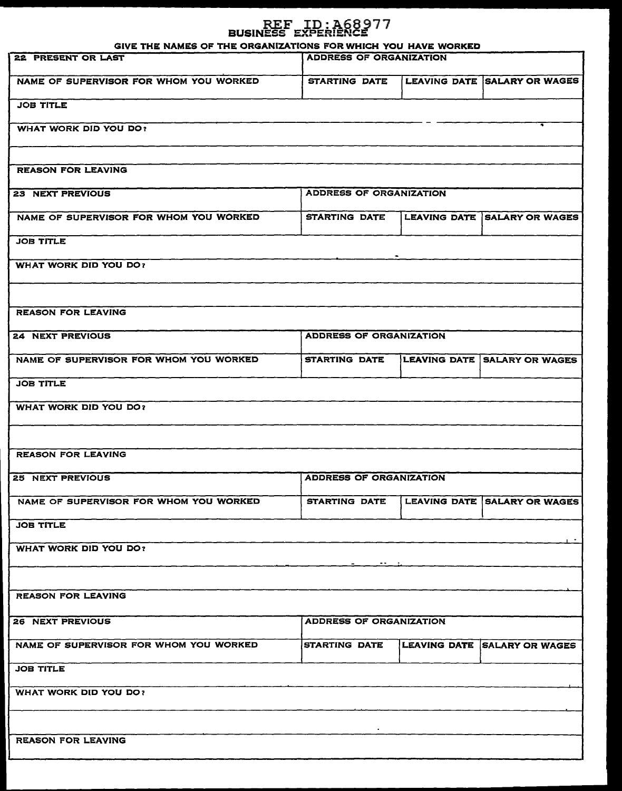# REF ID: 168977<br>BUSINESS EXPERIENCE

GIVE THE NAMES OF THE ORGANIZATIONS FOR WHICH YOU HAVE WORKED

| STARTING DATE LEAVING DATE SALARY OR WAGES<br>NAME OF SUPERVISOR FOR WHOM YOU WORKED<br><b>JOB TITLE</b><br><b>WHAT WORK DID YOU DO?</b><br><b>REASON FOR LEAVING</b><br><b>ADDRESS OF ORGANIZATION</b><br><b>23 NEXT PREVIOUS</b><br>STARTING DATE LEAVING DATE SALARY OR WAGES<br>NAME OF SUPERVISOR FOR WHOM YOU WORKED<br><b>JOB TITLE</b><br><b>WHAT WORK DID YOU DO?</b><br><b>REASON FOR LEAVING</b><br>ADDRESS OF ORGANIZATION<br><b>24 NEXT PREVIOUS</b><br>NAME OF SUPERVISOR FOR WHOM YOU WORKED<br>STARTING DATE LEAVING DATE SALARY OR WAGES<br><b>JOB TITLE</b><br><b>WHAT WORK DID YOU DO?</b><br><b>REASON FOR LEAVING</b><br><b>ADDRESS OF ORGANIZATION</b><br>STARTING DATE LEAVING DATE SALARY OR WAGES<br>NAME OF SUPERVISOR FOR WHOM YOU WORKED<br><b>JOB TITLE</b><br><b>WHAT WORK DID YOU DO?</b><br><b>REASON FOR LEAVING</b><br><b>ADDRESS OF ORGANIZATION</b><br><b>26 NEXT PREVIOUS</b><br>NAME OF SUPERVISOR FOR WHOM YOU WORKED<br><b>STARTING DATE</b><br>LEAVING DATE SALARY OR WAGES<br><b>JOB TITLE</b><br><b>WHAT WORK DID YOU DO?</b><br><b>REASON FOR LEAVING</b> | -<br>22 PRESENT OR LAST | <b>ADDRESS OF ORGANIZATION</b> |  |
|-------------------------------------------------------------------------------------------------------------------------------------------------------------------------------------------------------------------------------------------------------------------------------------------------------------------------------------------------------------------------------------------------------------------------------------------------------------------------------------------------------------------------------------------------------------------------------------------------------------------------------------------------------------------------------------------------------------------------------------------------------------------------------------------------------------------------------------------------------------------------------------------------------------------------------------------------------------------------------------------------------------------------------------------------------------------------------------------------------|-------------------------|--------------------------------|--|
|                                                                                                                                                                                                                                                                                                                                                                                                                                                                                                                                                                                                                                                                                                                                                                                                                                                                                                                                                                                                                                                                                                       |                         |                                |  |
|                                                                                                                                                                                                                                                                                                                                                                                                                                                                                                                                                                                                                                                                                                                                                                                                                                                                                                                                                                                                                                                                                                       |                         |                                |  |
|                                                                                                                                                                                                                                                                                                                                                                                                                                                                                                                                                                                                                                                                                                                                                                                                                                                                                                                                                                                                                                                                                                       |                         |                                |  |
|                                                                                                                                                                                                                                                                                                                                                                                                                                                                                                                                                                                                                                                                                                                                                                                                                                                                                                                                                                                                                                                                                                       |                         |                                |  |
|                                                                                                                                                                                                                                                                                                                                                                                                                                                                                                                                                                                                                                                                                                                                                                                                                                                                                                                                                                                                                                                                                                       |                         |                                |  |
|                                                                                                                                                                                                                                                                                                                                                                                                                                                                                                                                                                                                                                                                                                                                                                                                                                                                                                                                                                                                                                                                                                       |                         |                                |  |
|                                                                                                                                                                                                                                                                                                                                                                                                                                                                                                                                                                                                                                                                                                                                                                                                                                                                                                                                                                                                                                                                                                       |                         |                                |  |
|                                                                                                                                                                                                                                                                                                                                                                                                                                                                                                                                                                                                                                                                                                                                                                                                                                                                                                                                                                                                                                                                                                       |                         |                                |  |
|                                                                                                                                                                                                                                                                                                                                                                                                                                                                                                                                                                                                                                                                                                                                                                                                                                                                                                                                                                                                                                                                                                       |                         |                                |  |
|                                                                                                                                                                                                                                                                                                                                                                                                                                                                                                                                                                                                                                                                                                                                                                                                                                                                                                                                                                                                                                                                                                       |                         |                                |  |
|                                                                                                                                                                                                                                                                                                                                                                                                                                                                                                                                                                                                                                                                                                                                                                                                                                                                                                                                                                                                                                                                                                       |                         |                                |  |
|                                                                                                                                                                                                                                                                                                                                                                                                                                                                                                                                                                                                                                                                                                                                                                                                                                                                                                                                                                                                                                                                                                       |                         |                                |  |
|                                                                                                                                                                                                                                                                                                                                                                                                                                                                                                                                                                                                                                                                                                                                                                                                                                                                                                                                                                                                                                                                                                       |                         |                                |  |
|                                                                                                                                                                                                                                                                                                                                                                                                                                                                                                                                                                                                                                                                                                                                                                                                                                                                                                                                                                                                                                                                                                       |                         |                                |  |
|                                                                                                                                                                                                                                                                                                                                                                                                                                                                                                                                                                                                                                                                                                                                                                                                                                                                                                                                                                                                                                                                                                       |                         |                                |  |
|                                                                                                                                                                                                                                                                                                                                                                                                                                                                                                                                                                                                                                                                                                                                                                                                                                                                                                                                                                                                                                                                                                       |                         |                                |  |
|                                                                                                                                                                                                                                                                                                                                                                                                                                                                                                                                                                                                                                                                                                                                                                                                                                                                                                                                                                                                                                                                                                       | <b>25 NEXT PREVIOUS</b> |                                |  |
|                                                                                                                                                                                                                                                                                                                                                                                                                                                                                                                                                                                                                                                                                                                                                                                                                                                                                                                                                                                                                                                                                                       |                         |                                |  |
|                                                                                                                                                                                                                                                                                                                                                                                                                                                                                                                                                                                                                                                                                                                                                                                                                                                                                                                                                                                                                                                                                                       |                         |                                |  |
|                                                                                                                                                                                                                                                                                                                                                                                                                                                                                                                                                                                                                                                                                                                                                                                                                                                                                                                                                                                                                                                                                                       |                         |                                |  |
|                                                                                                                                                                                                                                                                                                                                                                                                                                                                                                                                                                                                                                                                                                                                                                                                                                                                                                                                                                                                                                                                                                       |                         |                                |  |
|                                                                                                                                                                                                                                                                                                                                                                                                                                                                                                                                                                                                                                                                                                                                                                                                                                                                                                                                                                                                                                                                                                       |                         |                                |  |
|                                                                                                                                                                                                                                                                                                                                                                                                                                                                                                                                                                                                                                                                                                                                                                                                                                                                                                                                                                                                                                                                                                       |                         |                                |  |
|                                                                                                                                                                                                                                                                                                                                                                                                                                                                                                                                                                                                                                                                                                                                                                                                                                                                                                                                                                                                                                                                                                       |                         |                                |  |
|                                                                                                                                                                                                                                                                                                                                                                                                                                                                                                                                                                                                                                                                                                                                                                                                                                                                                                                                                                                                                                                                                                       |                         |                                |  |
|                                                                                                                                                                                                                                                                                                                                                                                                                                                                                                                                                                                                                                                                                                                                                                                                                                                                                                                                                                                                                                                                                                       |                         |                                |  |
|                                                                                                                                                                                                                                                                                                                                                                                                                                                                                                                                                                                                                                                                                                                                                                                                                                                                                                                                                                                                                                                                                                       |                         |                                |  |
|                                                                                                                                                                                                                                                                                                                                                                                                                                                                                                                                                                                                                                                                                                                                                                                                                                                                                                                                                                                                                                                                                                       |                         |                                |  |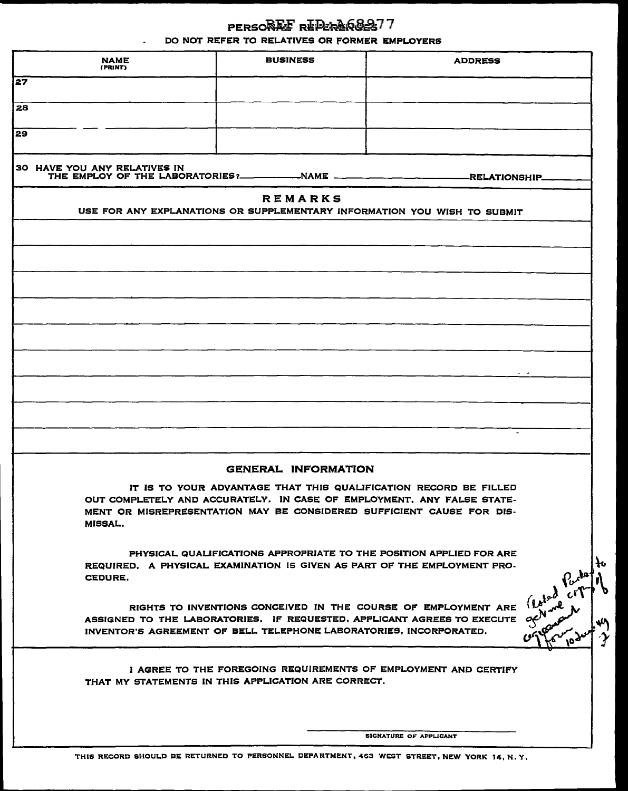| PERSORE FREPERARGES77                         |
|-----------------------------------------------|
| DO NOT REFER TO RELATIVES OR FORMER EMPLOYERS |

| (PRINT)                                                                                                                     | <b>BUSINESS</b>                                                    | <b>ADDRESS</b>                                                                                                                                                                                                      |                |
|-----------------------------------------------------------------------------------------------------------------------------|--------------------------------------------------------------------|---------------------------------------------------------------------------------------------------------------------------------------------------------------------------------------------------------------------|----------------|
| 27                                                                                                                          |                                                                    |                                                                                                                                                                                                                     |                |
| 28                                                                                                                          |                                                                    |                                                                                                                                                                                                                     |                |
| <b>z</b> 9                                                                                                                  |                                                                    |                                                                                                                                                                                                                     |                |
|                                                                                                                             |                                                                    |                                                                                                                                                                                                                     |                |
| 30 HAVE YOU ANY RELATIVES IN<br>THE EMPLOY OF THE LABORATORIES?____________NAME ______________________________RELATIONSHIP_ |                                                                    |                                                                                                                                                                                                                     |                |
|                                                                                                                             | <b>REMARKS</b>                                                     |                                                                                                                                                                                                                     |                |
|                                                                                                                             |                                                                    | USE FOR ANY EXPLANATIONS OR SUPPLEMENTARY INFORMATION YOU WISH TO SUBMIT                                                                                                                                            |                |
|                                                                                                                             |                                                                    |                                                                                                                                                                                                                     |                |
|                                                                                                                             |                                                                    |                                                                                                                                                                                                                     |                |
|                                                                                                                             |                                                                    |                                                                                                                                                                                                                     |                |
|                                                                                                                             |                                                                    |                                                                                                                                                                                                                     |                |
|                                                                                                                             |                                                                    |                                                                                                                                                                                                                     |                |
|                                                                                                                             |                                                                    |                                                                                                                                                                                                                     |                |
|                                                                                                                             |                                                                    |                                                                                                                                                                                                                     |                |
|                                                                                                                             |                                                                    |                                                                                                                                                                                                                     |                |
|                                                                                                                             |                                                                    |                                                                                                                                                                                                                     |                |
|                                                                                                                             |                                                                    |                                                                                                                                                                                                                     |                |
|                                                                                                                             |                                                                    |                                                                                                                                                                                                                     |                |
|                                                                                                                             | <b>GENERAL INFORMATION</b>                                         |                                                                                                                                                                                                                     |                |
| MISSAL.                                                                                                                     |                                                                    | IT IS TO YOUR ADVANTAGE THAT THIS QUALIFICATION RECORD BE FILLED<br>OUT COMPLETELY AND ACCURATELY. IN CASE OF EMPLOYMENT, ANY FALSE STATE-<br>MENT OR MISREPRESENTATION MAY BE CONSIDERED SUFFICIENT CAUSE FOR DIS- |                |
|                                                                                                                             |                                                                    | PHYSICAL QUALIFICATIONS APPROPRIATE TO THE POSITION APPLIED FOR ARE<br>REQUIRED. A PHYSICAL EXAMINATION IS GIVEN AS PART OF THE EMPLOYMENT PRO-                                                                     | łυ             |
| CEDURE.                                                                                                                     |                                                                    |                                                                                                                                                                                                                     |                |
|                                                                                                                             | INVENTOR'S AGREEMENT OF BELL TELEPHONE LABORATORIES, INCORPORATED. | RIGHTS TO INVENTIONS CONCEIVED IN THE COURSE OF EMPLOYMENT ARE<br>ASSIGNED TO THE LABORATORIES. IF REQUESTED, APPLICANT AGREES TO EXECUTE                                                                           |                |
|                                                                                                                             | THAT MY STATEMENTS IN THIS APPLICATION ARE CORRECT.                | I AGREE TO THE FOREGOING REQUIREMENTS OF EMPLOYMENT AND CERTIFY                                                                                                                                                     | Earth Centre 1 |

THIS RECORD SHOULD BE RETURNED TO PERSONNEL DEPARTMENT, 463 WEST STREET, NEW YORK 14, N. Y.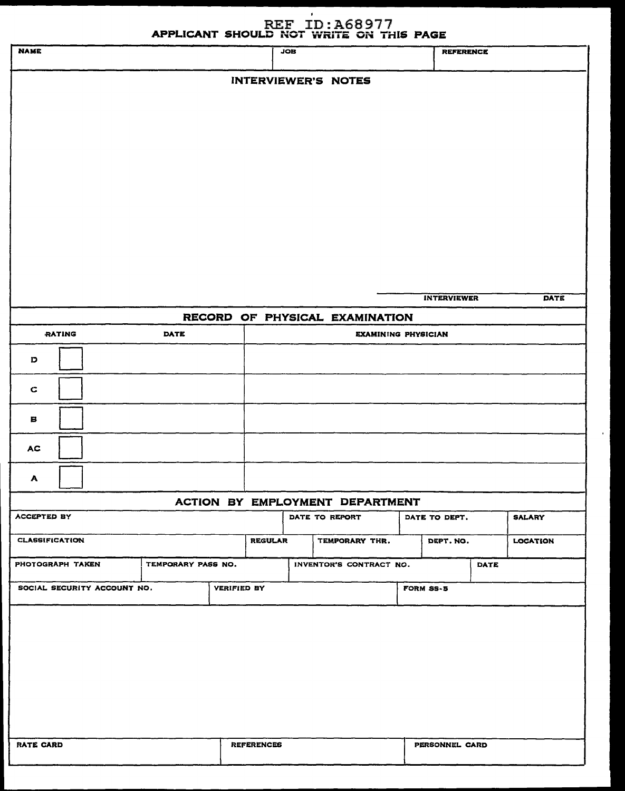## REF ID: A68977

|                             |                    |                    |                   |            | APPLICANT SHOULD NOT WRITE ON THIS PAGE |                       |      |                 |
|-----------------------------|--------------------|--------------------|-------------------|------------|-----------------------------------------|-----------------------|------|-----------------|
| <b>NAME</b>                 |                    |                    |                   | <b>JOB</b> |                                         | <b>REFERENCE</b>      |      |                 |
|                             |                    |                    |                   |            | <b>INTERVIEWER'S NOTES</b>              |                       |      |                 |
|                             |                    |                    |                   |            |                                         |                       |      |                 |
|                             |                    |                    |                   |            |                                         |                       |      |                 |
|                             |                    |                    |                   |            |                                         |                       |      |                 |
|                             |                    |                    |                   |            |                                         |                       |      |                 |
|                             |                    |                    |                   |            |                                         |                       |      |                 |
|                             |                    |                    |                   |            |                                         |                       |      |                 |
|                             |                    |                    |                   |            |                                         |                       |      |                 |
|                             |                    |                    |                   |            |                                         |                       |      |                 |
|                             |                    |                    |                   |            |                                         |                       |      |                 |
|                             |                    |                    |                   |            |                                         |                       |      |                 |
|                             |                    |                    |                   |            |                                         |                       |      |                 |
|                             |                    |                    |                   |            |                                         | <b>INTERVIEWER</b>    |      | DATE            |
|                             |                    |                    |                   |            | RECORD OF PHYSICAL EXAMINATION          |                       |      |                 |
| <b>RATING</b>               | <b>DATE</b>        |                    |                   |            | <b>EXAMINING PHYSICIAN</b>              |                       |      |                 |
| D                           |                    |                    |                   |            |                                         |                       |      |                 |
| $\mathbf C$                 |                    |                    |                   |            |                                         |                       |      |                 |
| в                           |                    |                    |                   |            |                                         |                       |      |                 |
| <b>AC</b>                   |                    |                    |                   |            |                                         |                       |      |                 |
| A                           |                    |                    |                   |            |                                         |                       |      |                 |
|                             |                    |                    |                   |            | ACTION BY EMPLOYMENT DEPARTMENT         |                       |      |                 |
| <b>ACCEPTED BY</b>          |                    |                    |                   |            | DATE TO REPORT                          | DATE TO DEPT.         |      | <b>SALARY</b>   |
| <b>CLASSIFICATION</b>       |                    |                    | <b>REGULAR</b>    |            | TEMPORARY THR.                          | DEPT. NO.             |      | <b>LOCATION</b> |
| PHOTOGRAPH TAKEN            | TEMPORARY PASS NO. |                    |                   |            | INVENTOR'S CONTRACT NO.                 |                       | DATE |                 |
| SOCIAL SECURITY ACCOUNT NO. |                    | <b>VERIFIED BY</b> |                   |            |                                         | <b>FORM SS-5</b>      |      |                 |
|                             |                    |                    |                   |            |                                         |                       |      |                 |
|                             |                    |                    |                   |            |                                         |                       |      |                 |
|                             |                    |                    |                   |            |                                         |                       |      |                 |
|                             |                    |                    |                   |            |                                         |                       |      |                 |
|                             |                    |                    |                   |            |                                         |                       |      |                 |
|                             |                    |                    |                   |            |                                         |                       |      |                 |
|                             |                    |                    |                   |            |                                         |                       |      |                 |
| <b>RATE CARD</b>            |                    |                    | <b>REFERENCES</b> |            |                                         | <b>PERSONNEL CARD</b> |      |                 |
|                             |                    |                    |                   |            |                                         |                       |      |                 |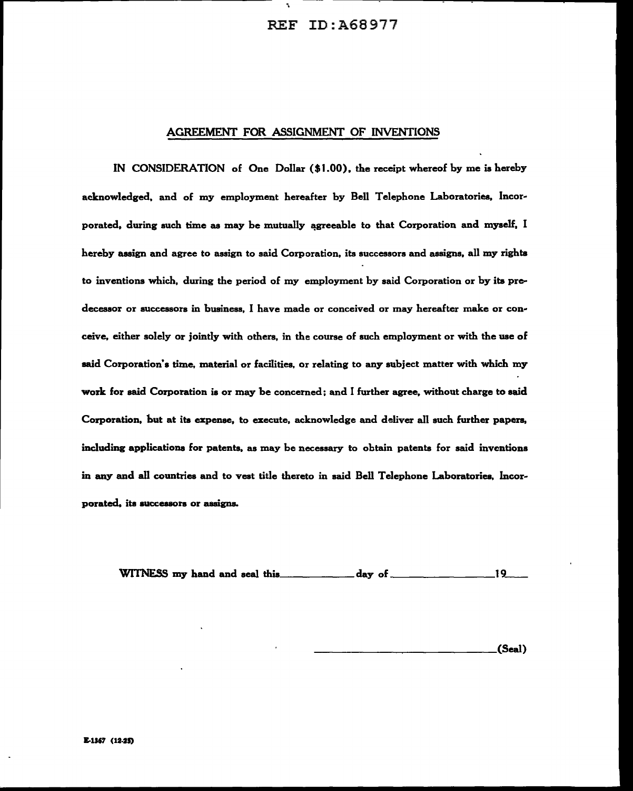#### REF ID:A68977

#### AGREEMENT FOR ASSIGNMENT OF INVENTIONS

·.

IN CONSIDERATION of One Dollar (\$1.00). the receipt whereof by me is hereby acknowledged, and of my employment hereafter by Bell Telephone Laboratories, Incorporated, during such time as may be mutually agreeable to that Corporation and myself, I hereby assign and agree to assign to said Corporation, its successors and assigns, all my rights to inventions which, during the period of my employment by said Corporation or by its predecessor or successors in business, I have made or conceived or may hereafter make or conceive, either solely or jointly with others, in the course of such employment or with the use of said Corporation's time, material or facilities, or relating to any subject matter with which my work for said Corporation is or may be concerned; and I further agree, without charge to said Corporation, hut at its expense, to execute, acknowledge and deliver all such further papers, including applications for patents, as may be necessary to obtain patents for said inventions in any and all countries and to vest title thereto in said Bell Telephone Laboratories, lncorporated, its successors or assigns.

WITNESS my hand and seal this. \_\_\_\_\_\_ day of \_\_\_\_\_\_\_\_\_ I 9\_\_

\_\_\_\_\_\_\_\_\_\_\_\_\_ (Seal)